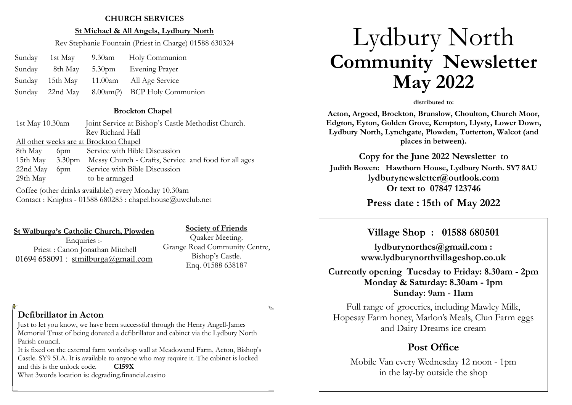#### **CHURCH SERVICES**

#### **St Michael & All Angels, Lydbury North**

Rev Stephanie Fountain (Priest in Charge) 01588 630324

|        | Sunday 1st May  | 9.30am Holy Communion                        |
|--------|-----------------|----------------------------------------------|
| Sunday |                 | 8th May 5.30pm Evening Prayer                |
|        | Sunday 15th May | 11.00am All Age Service                      |
|        |                 | Sunday 22nd May 8.00am(?) BCP Holy Communion |

#### **Brockton Chapel**

1st May 10.30am Joint Service at Bishop's Castle Methodist Church. Rev Richard Hall All other weeks are at Brockton Chapel 8th May 6pm Service with Bible Discussion 15th May 3.30pm Messy Church - Crafts, Service and food for all ages 22nd May 6pm Service with Bible Discussion 29th May to be arranged Coffee (other drinks available!) every Monday 10.30am

Contact : Knights - 01588 680285 : chapel.house@uwclub.net

**St Walburga's Catholic Church, Plowden** Enquiries :-Priest : Canon Jonathan Mitchell 01694 658091 : [stmilburga@gmail.com](mailto:stmilburga@gmail.com)

#### **Society of Friends**

Quaker Meeting. Grange Road Community Centre, Bishop's Castle. Enq. 01588 638187

## **Defibrillator in Acton**

Just to let you know, we have been successful through the Henry Angell-James Memorial Trust of being donated a defibrillator and cabinet via the Lydbury North Parish council.

It is fixed on the external farm workshop wall at Meadowend Farm, Acton, Bishop's Castle. SY9 5LA. It is available to anyone who may require it. The cabinet is locked and this is the unlock code. **C159X** What 3words location is: degrading.financial.casino

# Lydbury North **Community Newsletter May 2022**

#### **distributed to:**

**Acton, Argoed, Brockton, Brunslow, Choulton, Church Moor, Edgton, Eyton, Golden Grove, Kempton, Llysty, Lower Down, Lydbury North, Lynchgate, Plowden, Totterton, Walcot (and places in between).**

**Copy for the June 2022 Newsletter to Judith Bowen: Hawthorn House, Lydbury North. SY7 8AU lydburynewsletter@outlook.com Or text to 07847 123746** 

**Press date : 15th of May 2022** 

## **Village Shop : 01588 680501**

**lydburynorthcs@gmail.com : www.lydburynorthvillageshop.co.uk** 

**Currently opening Tuesday to Friday: 8.30am - 2pm Monday & Saturday: 8.30am - 1pm Sunday: 9am - 11am**

Full range of groceries, including Mawley Milk, Hopesay Farm honey, Marlon's Meals, Clun Farm eggs and Dairy Dreams ice cream

# **Post Office**

Mobile Van every Wednesday 12 noon - 1pm in the lay-by outside the shop